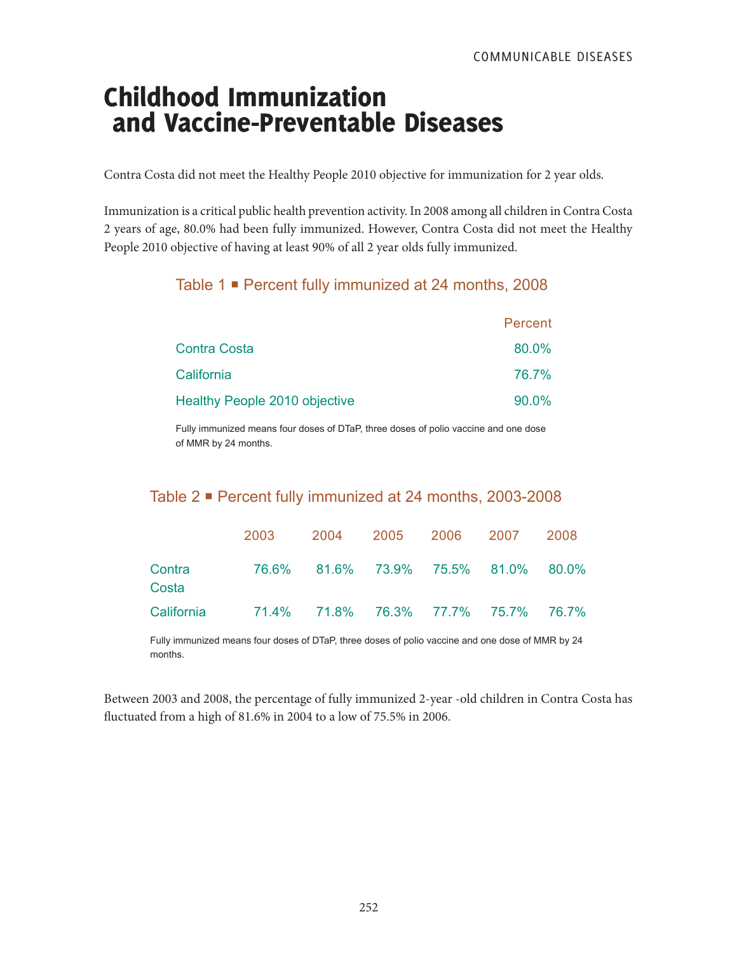# Childhood Immunization and Vaccine-Preventable Diseases

Contra Costa did not meet the Healthy People 2010 objective for immunization for 2 year olds.

Immunization is a critical public health prevention activity. In 2008 among all children in Contra Costa 2 years of age, 80.0% had been fully immunized. However, Contra Costa did not meet the Healthy People 2010 objective of having at least 90% of all 2 year olds fully immunized.

# Table 1 Percent fully immunized at 24 months, 2008

|                                      | Percent |
|--------------------------------------|---------|
| <b>Contra Costa</b>                  | 80.0%   |
| California                           | 76.7%   |
| <b>Healthy People 2010 objective</b> | 90.0%   |

Fully immunized means four doses of DTaP, three doses of polio vaccine and one dose of MMR by 24 months.

# Table 2 Percent fully immunized at 24 months, 2003-2008

|                 | 2003                                           |                                     | 2004 2005 2006 2007 |  | 2008 |
|-----------------|------------------------------------------------|-------------------------------------|---------------------|--|------|
| Contra<br>Costa |                                                | 76.6% 81.6% 73.9% 75.5% 81.0% 80.0% |                     |  |      |
|                 | California 71.4% 71.8% 76.3% 77.7% 75.7% 76.7% |                                     |                     |  |      |

Fully immunized means four doses of DTaP, three doses of polio vaccine and one dose of MMR by 24 months.

Between 2003 and 2008, the percentage of fully immunized 2-year -old children in Contra Costa has fluctuated from a high of 81.6% in 2004 to a low of 75.5% in 2006.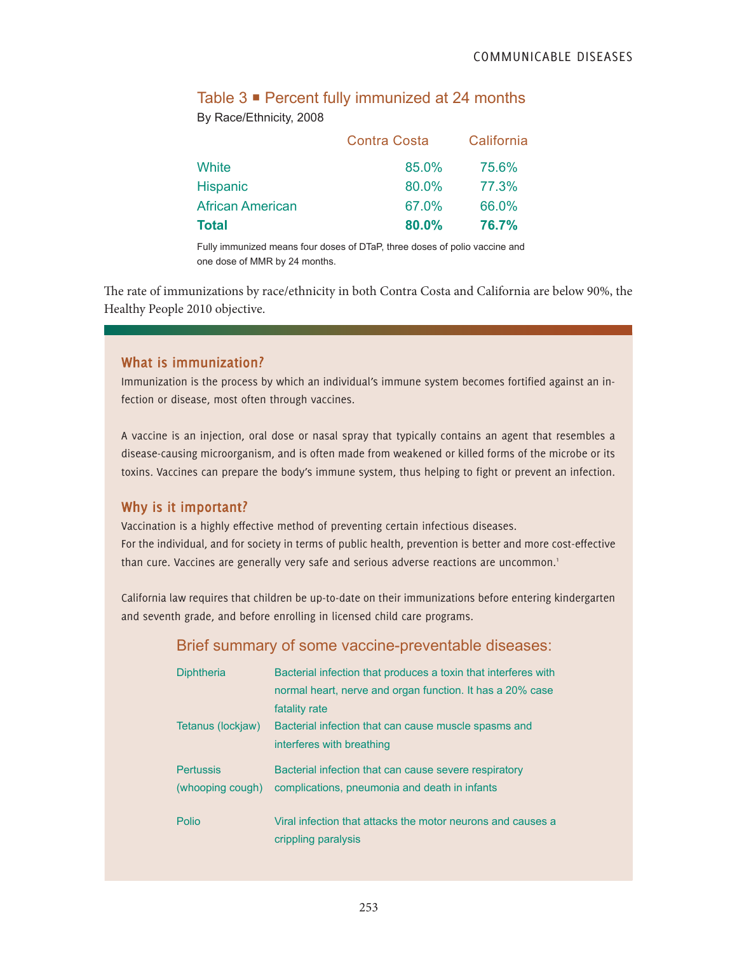# Table 3 Percent fully immunized at 24 months

By Race/Ethnicity, 2008

|                  | <b>Contra Costa</b> | California |
|------------------|---------------------|------------|
| White            | 85.0%               | 75.6%      |
| <b>Hispanic</b>  | 80.0%               | 77.3%      |
| African American | 67.0%               | 66.0%      |
| Total            | 80.0%               | 76.7%      |

Fully immunized means four doses of DTaP, three doses of polio vaccine and one dose of MMR by 24 months.

The rate of immunizations by race/ethnicity in both Contra Costa and California are below 90%, the Healthy People 2010 objective.

#### **What is immunization?**

Immunization is the process by which an individual's immune system becomes fortified against an infection or disease, most often through vaccines.

A vaccine is an injection, oral dose or nasal spray that typically contains an agent that resembles a disease-causing microorganism, and is often made from weakened or killed forms of the microbe or its toxins. Vaccines can prepare the body's immune system, thus helping to fight or prevent an infection.

### **Why is it important?**

Vaccination is a highly effective method of preventing certain infectious diseases. For the individual, and for society in terms of public health, prevention is better and more cost-effective than cure. Vaccines are generally very safe and serious adverse reactions are uncommon.<sup>1</sup>

California law requires that children be up-to-date on their immunizations before entering kindergarten and seventh grade, and before enrolling in licensed child care programs.

### Brief summary of some vaccine-preventable diseases:

| <b>Diphtheria</b> | Bacterial infection that produces a toxin that interferes with                     |
|-------------------|------------------------------------------------------------------------------------|
|                   | normal heart, nerve and organ function. It has a 20% case                          |
|                   | fatality rate                                                                      |
| Tetanus (lockjaw) | Bacterial infection that can cause muscle spasms and                               |
|                   | interferes with breathing                                                          |
|                   |                                                                                    |
| <b>Pertussis</b>  | Bacterial infection that can cause severe respiratory                              |
| (whooping cough)  | complications, pneumonia and death in infants                                      |
|                   |                                                                                    |
| Polio             | Viral infection that attacks the motor neurons and causes a<br>crippling paralysis |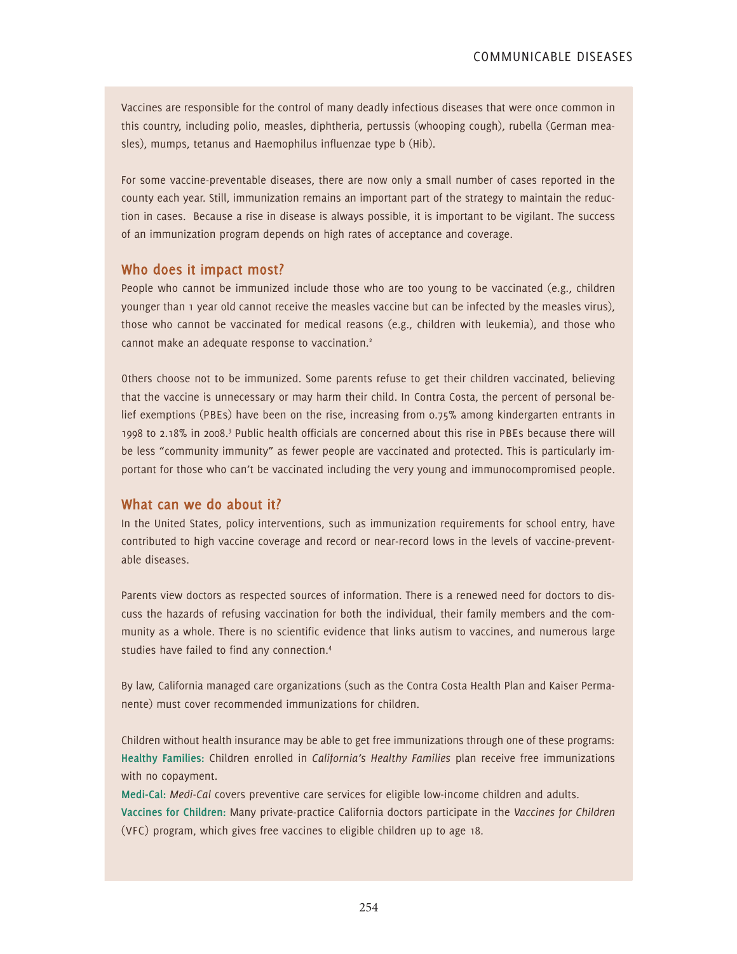Vaccines are responsible for the control of many deadly infectious diseases that were once common in this country, including polio, measles, diphtheria, pertussis (whooping cough), rubella (German measles), mumps, tetanus and Haemophilus influenzae type b (Hib).

For some vaccine-preventable diseases, there are now only a small number of cases reported in the county each year. Still, immunization remains an important part of the strategy to maintain the reduction in cases. Because a rise in disease is always possible, it is important to be vigilant. The success of an immunization program depends on high rates of acceptance and coverage.

#### **Who does it impact most?**

People who cannot be immunized include those who are too young to be vaccinated (e.g., children younger than 1 year old cannot receive the measles vaccine but can be infected by the measles virus), those who cannot be vaccinated for medical reasons (e.g., children with leukemia), and those who cannot make an adequate response to vaccination.<sup>2</sup>

Others choose not to be immunized. Some parents refuse to get their children vaccinated, believing that the vaccine is unnecessary or may harm their child. In Contra Costa, the percent of personal belief exemptions (PBEs) have been on the rise, increasing from 0.75% among kindergarten entrants in 1998 to 2.18% in 2008.<sup>3</sup> Public health officials are concerned about this rise in PBEs because there will be less "community immunity" as fewer people are vaccinated and protected. This is particularly important for those who can't be vaccinated including the very young and immunocompromised people.

#### **What can we do about it?**

In the United States, policy interventions, such as immunization requirements for school entry, have contributed to high vaccine coverage and record or near-record lows in the levels of vaccine-preventable diseases.

Parents view doctors as respected sources of information. There is a renewed need for doctors to discuss the hazards of refusing vaccination for both the individual, their family members and the community as a whole. There is no scientific evidence that links autism to vaccines, and numerous large studies have failed to find any connection.4

By law, California managed care organizations (such as the Contra Costa Health Plan and Kaiser Permanente) must cover recommended immunizations for children.

Children without health insurance may be able to get free immunizations through one of these programs: **Healthy Families:** Children enrolled in *California's Healthy Families* plan receive free immunizations with no copayment.

**Medi-Cal:** *Medi-Cal* covers preventive care services for eligible low-income children and adults. **Vaccines for Children:** Many private-practice California doctors participate in the *Vaccines for Children*  (VFC) program, which gives free vaccines to eligible children up to age 18.